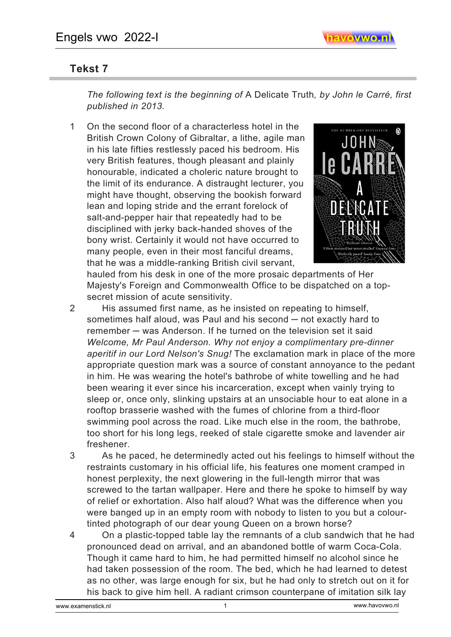## **Tekst 7**

*The following text is the beginning of* A Delicate Truth*, by John le Carré, first published in 2013.* 

1 On the second floor of a characterless hotel in the British Crown Colony of Gibraltar, a lithe, agile man in his late fifties restlessly paced his bedroom. His very British features, though pleasant and plainly honourable, indicated a choleric nature brought to the limit of its endurance. A distraught lecturer, you might have thought, observing the bookish forward lean and loping stride and the errant forelock of salt-and-pepper hair that repeatedly had to be disciplined with jerky back-handed shoves of the bony wrist. Certainly it would not have occurred to many people, even in their most fanciful dreams, that he was a middle-ranking British civil servant,



hauled from his desk in one of the more prosaic departments of Her Majesty's Foreign and Commonwealth Office to be dispatched on a topsecret mission of acute sensitivity.

2 His assumed first name, as he insisted on repeating to himself, sometimes half aloud, was Paul and his second — not exactly hard to remember — was Anderson. If he turned on the television set it said *Welcome, Mr Paul Anderson. Why not enjoy a complimentary pre-dinner aperitif in our Lord Nelson's Snug!* The exclamation mark in place of the more appropriate question mark was a source of constant annoyance to the pedant in him. He was wearing the hotel's bathrobe of white towelling and he had been wearing it ever since his incarceration, except when vainly trying to sleep or, once only, slinking upstairs at an unsociable hour to eat alone in a rooftop brasserie washed with the fumes of chlorine from a third-floor swimming pool across the road. Like much else in the room, the bathrobe, too short for his long legs, reeked of stale cigarette smoke and lavender air freshener.

3 As he paced, he determinedly acted out his feelings to himself without the restraints customary in his official life, his features one moment cramped in honest perplexity, the next glowering in the full-length mirror that was screwed to the tartan wallpaper. Here and there he spoke to himself by way of relief or exhortation. Also half aloud? What was the difference when you were banged up in an empty room with nobody to listen to you but a colourtinted photograph of our dear young Queen on a brown horse?

4 On a plastic-topped table lay the remnants of a club sandwich that he had pronounced dead on arrival, and an abandoned bottle of warm Coca-Cola. Though it came hard to him, he had permitted himself no alcohol since he had taken possession of the room. The bed, which he had learned to detest as no other, was large enough for six, but he had only to stretch out on it for his back to give him hell. A radiant crimson counterpane of imitation silk lay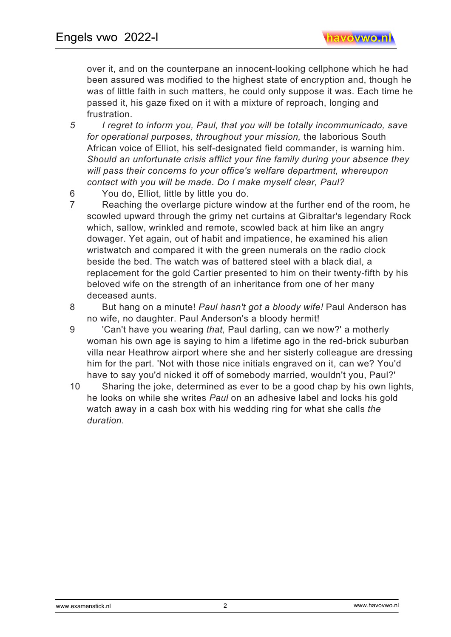over it, and on the counterpane an innocent-looking cellphone which he had been assured was modified to the highest state of encryption and, though he was of little faith in such matters, he could only suppose it was. Each time he passed it, his gaze fixed on it with a mixture of reproach, longing and frustration.

- *5 I regret to inform you, Paul, that you will be totally incommunicado, save for operational purposes, throughout your mission,* the laborious South African voice of Elliot, his self-designated field commander, is warning him. *Should an unfortunate crisis afflict your fine family during your absence they will pass their concerns to your office's welfare department, whereupon contact with you will be made. Do I make myself clear, Paul?*
- 6 You do, Elliot, little by little you do.
- 7 Reaching the overlarge picture window at the further end of the room, he scowled upward through the grimy net curtains at Gibraltar's legendary Rock which, sallow, wrinkled and remote, scowled back at him like an angry dowager. Yet again, out of habit and impatience, he examined his alien wristwatch and compared it with the green numerals on the radio clock beside the bed. The watch was of battered steel with a black dial, a replacement for the gold Cartier presented to him on their twenty-fifth by his beloved wife on the strength of an inheritance from one of her many deceased aunts.
- 8 But hang on a minute! *Paul hasn't got a bloody wife!* Paul Anderson has no wife, no daughter. Paul Anderson's a bloody hermit!
- 9 'Can't have you wearing *that,* Paul darling, can we now?' a motherly woman his own age is saying to him a lifetime ago in the red-brick suburban villa near Heathrow airport where she and her sisterly colleague are dressing him for the part. 'Not with those nice initials engraved on it, can we? You'd have to say you'd nicked it off of somebody married, wouldn't you, Paul?'
- 10 Sharing the joke, determined as ever to be a good chap by his own lights, he looks on while she writes *Paul* on an adhesive label and locks his gold watch away in a cash box with his wedding ring for what she calls *the duration.*